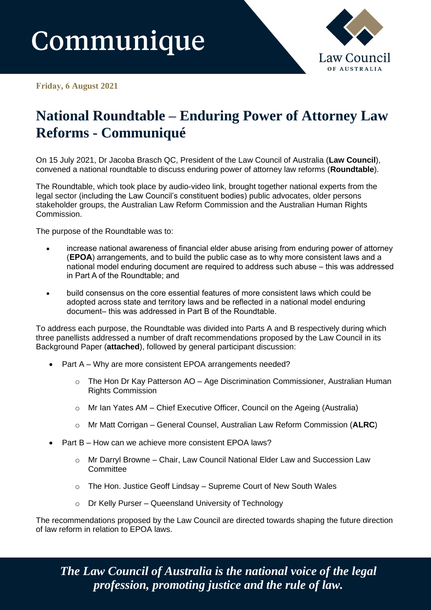# Communique



**Friday, 6 August 2021** 

# **National Roundtable – Enduring Power of Attorney Law Reforms - Communiqué**

On 15 July 2021, Dr Jacoba Brasch QC, President of the Law Council of Australia (**Law Council**), convened a national roundtable to discuss enduring power of attorney law reforms (**Roundtable**).

The Roundtable, which took place by audio-video link, brought together national experts from the legal sector (including the Law Council's constituent bodies) public advocates, older persons stakeholder groups, the Australian Law Reform Commission and the Australian Human Rights Commission.

The purpose of the Roundtable was to:

- increase national awareness of financial elder abuse arising from enduring power of attorney (**EPOA**) arrangements, and to build the public case as to why more consistent laws and a national model enduring document are required to address such abuse – this was addressed in Part A of the Roundtable; and
- build consensus on the core essential features of more consistent laws which could be adopted across state and territory laws and be reflected in a national model enduring document– this was addressed in Part B of the Roundtable.

To address each purpose, the Roundtable was divided into Parts A and B respectively during which three panellists addressed a number of draft recommendations proposed by the Law Council in its Background Paper (**attached**), followed by general participant discussion:

- Part A Why are more consistent EPOA arrangements needed?
	- o The Hon Dr Kay Patterson AO Age Discrimination Commissioner, Australian Human Rights Commission
	- o Mr Ian Yates AM Chief Executive Officer, Council on the Ageing (Australia)
	- o Mr Matt Corrigan General Counsel, Australian Law Reform Commission (**ALRC**)
- Part B How can we achieve more consistent EPOA laws?
	- o Mr Darryl Browne Chair, Law Council National Elder Law and Succession Law **Committee**
	- o The Hon. Justice Geoff Lindsay Supreme Court of New South Wales
	- o Dr Kelly Purser Queensland University of Technology

The recommendations proposed by the Law Council are directed towards shaping the future direction of law reform in relation to EPOA laws.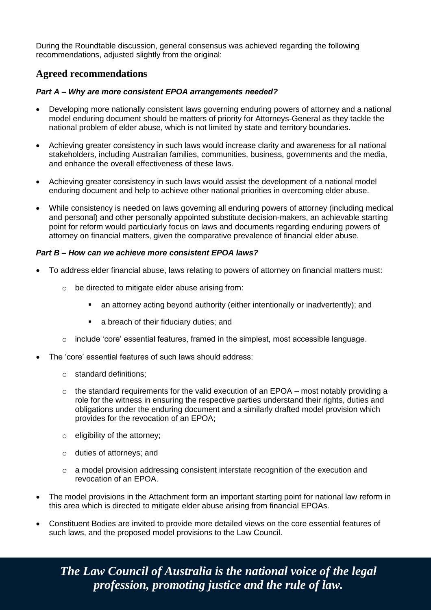During the Roundtable discussion, general consensus was achieved regarding the following recommendations, adjusted slightly from the original:

# **Agreed recommendations**

## *Part A – Why are more consistent EPOA arrangements needed?*

- Developing more nationally consistent laws governing enduring powers of attorney and a national model enduring document should be matters of priority for Attorneys-General as they tackle the national problem of elder abuse, which is not limited by state and territory boundaries.
- Achieving greater consistency in such laws would increase clarity and awareness for all national stakeholders, including Australian families, communities, business, governments and the media, and enhance the overall effectiveness of these laws.
- Achieving greater consistency in such laws would assist the development of a national model enduring document and help to achieve other national priorities in overcoming elder abuse.
- While consistency is needed on laws governing all enduring powers of attorney (including medical and personal) and other personally appointed substitute decision-makers, an achievable starting point for reform would particularly focus on laws and documents regarding enduring powers of attorney on financial matters, given the comparative prevalence of financial elder abuse.

## *Part B – How can we achieve more consistent EPOA laws?*

- To address elder financial abuse, laws relating to powers of attorney on financial matters must:
	- o be directed to mitigate elder abuse arising from:
		- an attorney acting beyond authority (either intentionally or inadvertently); and
		- a breach of their fiduciary duties; and
	- $\circ$  include 'core' essential features, framed in the simplest, most accessible language.
- The 'core' essential features of such laws should address:
	- o standard definitions;
	- $\circ$  the standard requirements for the valid execution of an EPOA most notably providing a role for the witness in ensuring the respective parties understand their rights, duties and obligations under the enduring document and a similarly drafted model provision which provides for the revocation of an EPOA;
	- o eligibility of the attorney;
	- o duties of attorneys; and
	- $\circ$  a model provision addressing consistent interstate recognition of the execution and revocation of an EPOA.
- The model provisions in the Attachment form an important starting point for national law reform in this area which is directed to mitigate elder abuse arising from financial EPOAs.
- Constituent Bodies are invited to provide more detailed views on the core essential features of such laws, and the proposed model provisions to the Law Council.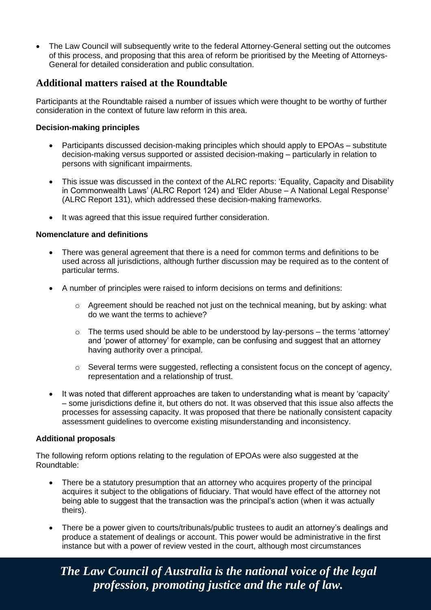• The Law Council will subsequently write to the federal Attorney-General setting out the outcomes of this process, and proposing that this area of reform be prioritised by the Meeting of Attorneys-General for detailed consideration and public consultation.

# **Additional matters raised at the Roundtable**

Participants at the Roundtable raised a number of issues which were thought to be worthy of further consideration in the context of future law reform in this area.

# **Decision-making principles**

- Participants discussed decision-making principles which should apply to EPOAs substitute decision-making versus supported or assisted decision-making – particularly in relation to persons with significant impairments.
- This issue was discussed in the context of the ALRC reports: 'Equality, Capacity and Disability in Commonwealth Laws' (ALRC Report 124) and 'Elder Abuse – A National Legal Response' (ALRC Report 131), which addressed these decision-making frameworks.
- It was agreed that this issue required further consideration.

# **Nomenclature and definitions**

- There was general agreement that there is a need for common terms and definitions to be used across all jurisdictions, although further discussion may be required as to the content of particular terms.
- A number of principles were raised to inform decisions on terms and definitions:
	- $\circ$  Agreement should be reached not just on the technical meaning, but by asking: what do we want the terms to achieve?
	- $\circ$  The terms used should be able to be understood by lay-persons the terms 'attorney' and 'power of attorney' for example, can be confusing and suggest that an attorney having authority over a principal.
	- o Several terms were suggested, reflecting a consistent focus on the concept of agency, representation and a relationship of trust.
- It was noted that different approaches are taken to understanding what is meant by 'capacity' – some jurisdictions define it, but others do not. It was observed that this issue also affects the processes for assessing capacity. It was proposed that there be nationally consistent capacity assessment guidelines to overcome existing misunderstanding and inconsistency.

## **Additional proposals**

The following reform options relating to the regulation of EPOAs were also suggested at the Roundtable:

- There be a statutory presumption that an attorney who acquires property of the principal acquires it subject to the obligations of fiduciary. That would have effect of the attorney not being able to suggest that the transaction was the principal's action (when it was actually theirs).
- There be a power given to courts/tribunals/public trustees to audit an attorney's dealings and produce a statement of dealings or account. This power would be administrative in the first instance but with a power of review vested in the court, although most circumstances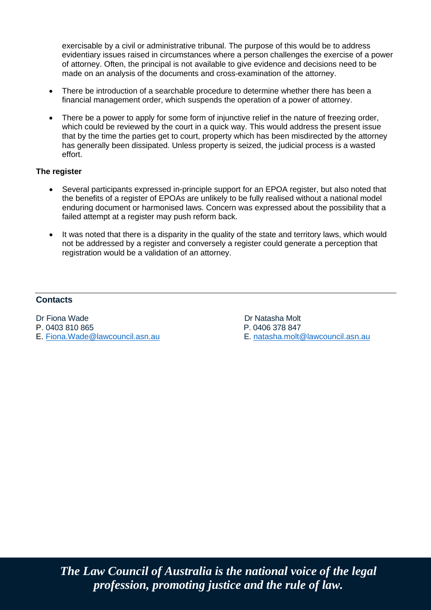exercisable by a civil or administrative tribunal. The purpose of this would be to address evidentiary issues raised in circumstances where a person challenges the exercise of a power of attorney. Often, the principal is not available to give evidence and decisions need to be made on an analysis of the documents and cross-examination of the attorney.

- There be introduction of a searchable procedure to determine whether there has been a financial management order, which suspends the operation of a power of attorney.
- There be a power to apply for some form of injunctive relief in the nature of freezing order, which could be reviewed by the court in a quick way. This would address the present issue that by the time the parties get to court, property which has been misdirected by the attorney has generally been dissipated. Unless property is seized, the judicial process is a wasted effort.

# **The register**

- Several participants expressed in-principle support for an EPOA register, but also noted that the benefits of a register of EPOAs are unlikely to be fully realised without a national model enduring document or harmonised laws. Concern was expressed about the possibility that a failed attempt at a register may push reform back.
- It was noted that there is a disparity in the quality of the state and territory laws, which would not be addressed by a register and conversely a register could generate a perception that registration would be a validation of an attorney.

# **Contacts**

P. 0403 810 865 P. 0406 378 847

Dr Fiona Wade **Dr Natasha Molt** E. natasha.molt@lawcouncil.asn.au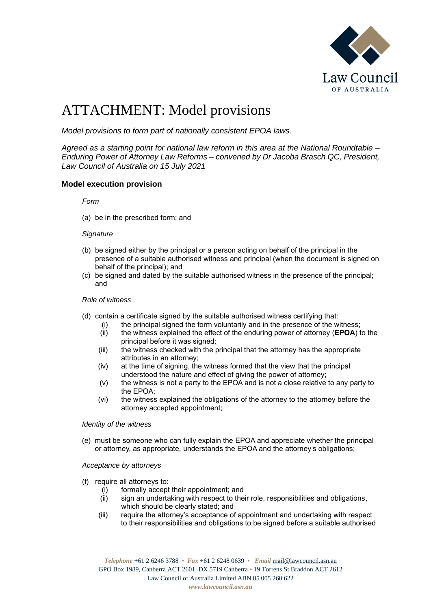

# ATTACHMENT: Model provisions

*Model provisions to form part of nationally consistent EPOA laws.* 

*Agreed as a starting point for national law reform in this area at the National Roundtable – Enduring Power of Attorney Law Reforms – convened by Dr Jacoba Brasch QC, President, Law Council of Australia on 15 July 2021*

#### **Model execution provision**

*Form*

(a) be in the prescribed form; and

#### *Signature*

- (b) be signed either by the principal or a person acting on behalf of the principal in the presence of a suitable authorised witness and principal (when the document is signed on behalf of the principal); and
- (c) be signed and dated by the suitable authorised witness in the presence of the principal; and

#### *Role of witness*

- (d) contain a certificate signed by the suitable authorised witness certifying that:
	- (i) the principal signed the form voluntarily and in the presence of the witness;
	- (ii) the witness explained the effect of the enduring power of attorney (**EPOA**) to the principal before it was signed;
	- (iii) the witness checked with the principal that the attorney has the appropriate attributes in an attorney;
	- (iv) at the time of signing, the witness formed that the view that the principal understood the nature and effect of giving the power of attorney;
	- (v) the witness is not a party to the EPOA and is not a close relative to any party to the EPOA;
	- (vi) the witness explained the obligations of the attorney to the attorney before the attorney accepted appointment;

#### *Identity of the witness*

(e) must be someone who can fully explain the EPOA and appreciate whether the principal or attorney, as appropriate, understands the EPOA and the attorney's obligations;

*Acceptance by attorneys*

- (f) require all attorneys to:
	- (i) formally accept their appointment; and
	- (ii) sign an undertaking with respect to their role, responsibilities and obligations, which should be clearly stated; and
	- (iii) require the attorney's acceptance of appointment and undertaking with respect to their responsibilities and obligations to be signed before a suitable authorised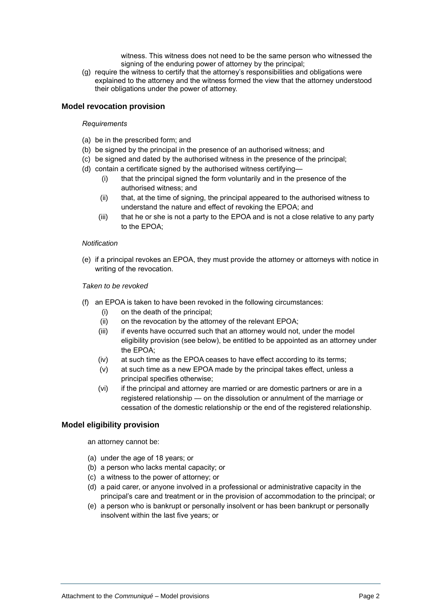witness. This witness does not need to be the same person who witnessed the signing of the enduring power of attorney by the principal;

(g) require the witness to certify that the attorney's responsibilities and obligations were explained to the attorney and the witness formed the view that the attorney understood their obligations under the power of attorney.

#### **Model revocation provision**

#### *Requirements*

- (a) be in the prescribed form; and
- (b) be signed by the principal in the presence of an authorised witness; and
- (c) be signed and dated by the authorised witness in the presence of the principal;
- (d) contain a certificate signed by the authorised witness certifying—
	- (i) that the principal signed the form voluntarily and in the presence of the authorised witness; and
	- (ii) that, at the time of signing, the principal appeared to the authorised witness to understand the nature and effect of revoking the EPOA; and
	- (iii) that he or she is not a party to the EPOA and is not a close relative to any party to the EPOA;

#### *Notification*

(e) if a principal revokes an EPOA, they must provide the attorney or attorneys with notice in writing of the revocation.

#### *Taken to be revoked*

- (f) an EPOA is taken to have been revoked in the following circumstances:
	- (i) on the death of the principal;
	- (ii) on the revocation by the attorney of the relevant EPOA;
	- (iii) if events have occurred such that an attorney would not, under the model eligibility provision (see below), be entitled to be appointed as an attorney under the EPOA;
	- (iv) at such time as the EPOA ceases to have effect according to its terms;
	- (v) at such time as a new EPOA made by the principal takes effect, unless a principal specifies otherwise;
	- (vi) if the principal and attorney are married or are domestic partners or are in a registered relationship — on the dissolution or annulment of the marriage or cessation of the domestic relationship or the end of the registered relationship.

#### **Model eligibility provision**

an attorney cannot be:

- (a) under the age of 18 years; or
- (b) a person who lacks mental capacity; or
- (c) a witness to the power of attorney; or
- (d) a paid carer, or anyone involved in a professional or administrative capacity in the principal's care and treatment or in the provision of accommodation to the principal; or
- (e) a person who is bankrupt or personally insolvent or has been bankrupt or personally insolvent within the last five years; or